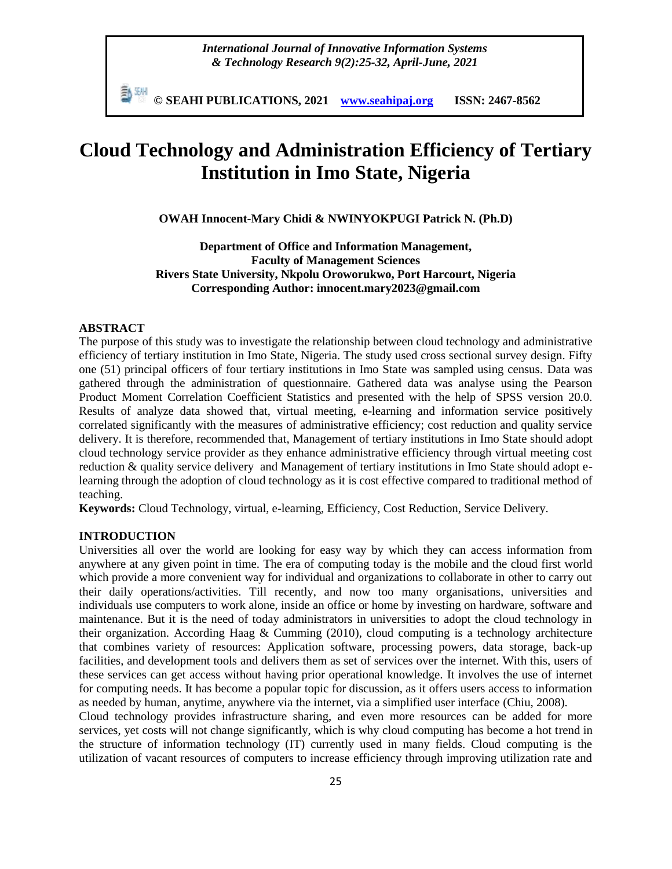*International Journal of Innovative Information Systems & Technology Research 9(2):25-32, April-June, 2021*

**© SEAHI PUBLICATIONS, 2021 [www.seahipaj.org](http://www.seahipaj.org/) ISSN: 2467-8562**

# **Cloud Technology and Administration Efficiency of Tertiary Institution in Imo State, Nigeria**

**OWAH Innocent-Mary Chidi & NWINYOKPUGI Patrick N. (Ph.D)**

**Department of Office and Information Management, Faculty of Management Sciences Rivers State University, Nkpolu Oroworukwo, Port Harcourt, Nigeria Corresponding Author: innocent.mary2023@gmail.com**

#### **ABSTRACT**

The purpose of this study was to investigate the relationship between cloud technology and administrative efficiency of tertiary institution in Imo State, Nigeria. The study used cross sectional survey design. Fifty one (51) principal officers of four tertiary institutions in Imo State was sampled using census. Data was gathered through the administration of questionnaire. Gathered data was analyse using the Pearson Product Moment Correlation Coefficient Statistics and presented with the help of SPSS version 20.0. Results of analyze data showed that, virtual meeting, e-learning and information service positively correlated significantly with the measures of administrative efficiency; cost reduction and quality service delivery. It is therefore, recommended that, Management of tertiary institutions in Imo State should adopt cloud technology service provider as they enhance administrative efficiency through virtual meeting cost reduction & quality service delivery and Management of tertiary institutions in Imo State should adopt elearning through the adoption of cloud technology as it is cost effective compared to traditional method of teaching.

**Keywords:** Cloud Technology, virtual, e-learning, Efficiency, Cost Reduction, Service Delivery.

## **INTRODUCTION**

Universities all over the world are looking for easy way by which they can access information from anywhere at any given point in time. The era of computing today is the mobile and the cloud first world which provide a more convenient way for individual and organizations to collaborate in other to carry out their daily operations/activities. Till recently, and now too many organisations, universities and individuals use computers to work alone, inside an office or home by investing on hardware, software and maintenance. But it is the need of today administrators in universities to adopt the cloud technology in their organization. According Haag & Cumming (2010), cloud computing is a technology architecture that combines variety of resources: Application software, processing powers, data storage, back-up facilities, and development tools and delivers them as set of services over the internet. With this, users of these services can get access without having prior operational knowledge. It involves the use of internet for computing needs. It has become a popular topic for discussion, as it offers users access to information as needed by human, anytime, anywhere via the internet, via a simplified user interface (Chiu, 2008).

Cloud technology provides infrastructure sharing, and even more resources can be added for more services, yet costs will not change significantly, which is why cloud computing has become a hot trend in the structure of information technology (IT) currently used in many fields. Cloud computing is the utilization of vacant resources of computers to increase efficiency through improving utilization rate and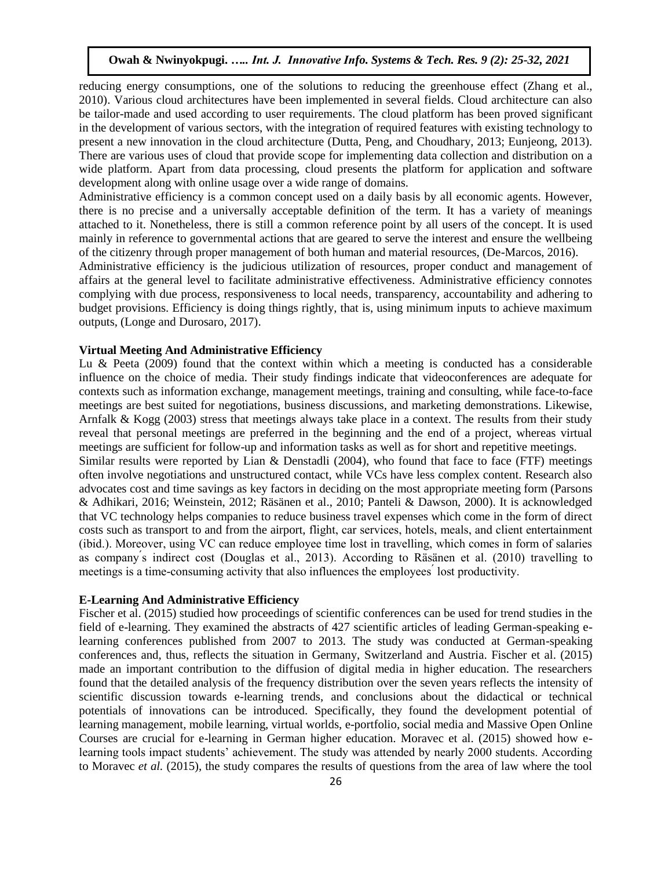reducing energy consumptions, one of the solutions to reducing the greenhouse effect (Zhang et al., 2010). Various cloud architectures have been implemented in several fields. Cloud architecture can also be tailor-made and used according to user requirements. The cloud platform has been proved significant in the development of various sectors, with the integration of required features with existing technology to present a new innovation in the cloud architecture (Dutta, Peng, and Choudhary, 2013; Eunjeong, 2013). There are various uses of cloud that provide scope for implementing data collection and distribution on a wide platform. Apart from data processing, cloud presents the platform for application and software development along with online usage over a wide range of domains.

Administrative efficiency is a common concept used on a daily basis by all economic agents. However, there is no precise and a universally acceptable definition of the term. It has a variety of meanings attached to it. Nonetheless, there is still a common reference point by all users of the concept. It is used mainly in reference to governmental actions that are geared to serve the interest and ensure the wellbeing of the citizenry through proper management of both human and material resources, (De-Marcos, 2016).

Administrative efficiency is the judicious utilization of resources, proper conduct and management of affairs at the general level to facilitate administrative effectiveness. Administrative efficiency connotes complying with due process, responsiveness to local needs, transparency, accountability and adhering to budget provisions. Efficiency is doing things rightly, that is, using minimum inputs to achieve maximum outputs, (Longe and Durosaro, 2017).

# **Virtual Meeting And Administrative Efficiency**

Lu  $\&$  Peeta (2009) found that the context within which a meeting is conducted has a considerable influence on the choice of media. Their study findings indicate that videoconferences are adequate for contexts such as information exchange, management meetings, training and consulting, while face-to-face meetings are best suited for negotiations, business discussions, and marketing demonstrations. Likewise, Arnfalk & Kogg (2003) stress that meetings always take place in a context. The results from their study reveal that personal meetings are preferred in the beginning and the end of a project, whereas virtual meetings are sufficient for follow-up and information tasks as well as for short and repetitive meetings.

Similar results were reported by Lian & Denstadli (2004), who found that face to face (FTF) meetings often involve negotiations and unstructured contact, while VCs have less complex content. Research also advocates cost and time savings as key factors in deciding on the most appropriate meeting form (Parsons & Adhikari, 2016; Weinstein, 2012; Räsänen et al., 2010; Panteli & Dawson, 2000). It is acknowledged that VC technology helps companies to reduce business travel expenses which come in the form of direct costs such as transport to and from the airport, flight, car services, hotels, meals, and client entertainment (ibid.). Moreover, using VC can reduce employee time lost in travelling, which comes in form of salaries as company's indirect cost (Douglas et al., 2013). According to Räsänen et al. (2010) travelling to meetings is a time-consuming activity that also influences the employees lost productivity.

# **E-Learning And Administrative Efficiency**

Fischer et al. (2015) studied how proceedings of scientific conferences can be used for trend studies in the field of e-learning. They examined the abstracts of 427 scientific articles of leading German-speaking elearning conferences published from 2007 to 2013. The study was conducted at German-speaking conferences and, thus, reflects the situation in Germany, Switzerland and Austria. Fischer et al. (2015) made an important contribution to the diffusion of digital media in higher education. The researchers found that the detailed analysis of the frequency distribution over the seven years reflects the intensity of scientific discussion towards e-learning trends, and conclusions about the didactical or technical potentials of innovations can be introduced. Specifically, they found the development potential of learning management, mobile learning, virtual worlds, e-portfolio, social media and Massive Open Online Courses are crucial for e-learning in German higher education. Moravec et al. (2015) showed how e learning tools impact students' achievement. The study was attended by nearly 2000 students. According to Moravec *et al.* (2015), the study compares the results of questions from the area of law where the tool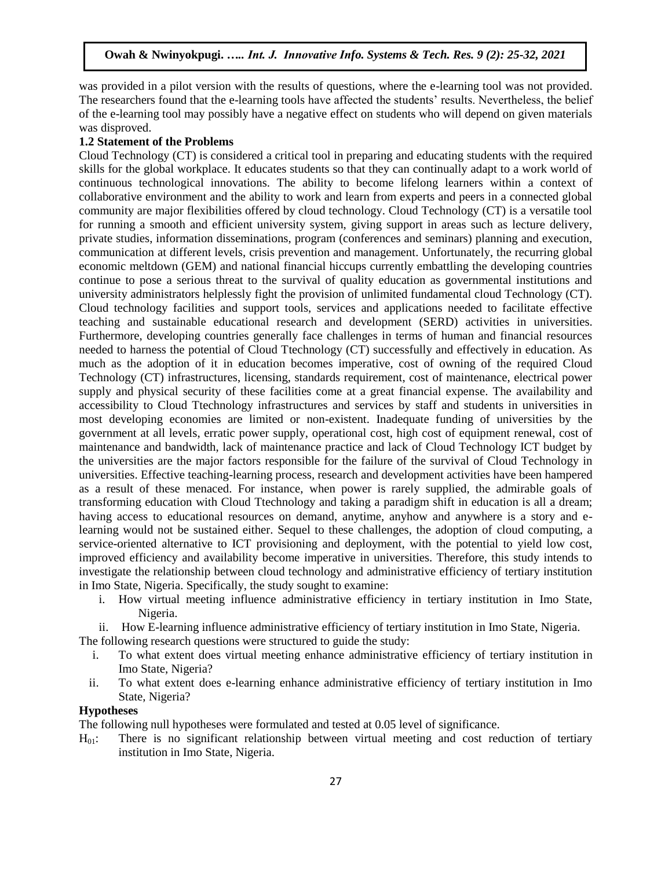was provided in a pilot version with the results of questions, where the e-learning tool was not provided. The researchers found that the e-learning tools have affected the students' results. Nevertheless, the belief of the e-learning tool may possibly have a negative effect on students who will depend on given materials was disproved.

#### **1.2 Statement of the Problems**

Cloud Technology (CT) is considered a critical tool in preparing and educating students with the required skills for the global workplace. It educates students so that they can continually adapt to a work world of continuous technological innovations. The ability to become lifelong learners within a context of collaborative environment and the ability to work and learn from experts and peers in a connected global community are major flexibilities offered by cloud technology. Cloud Technology (CT) is a versatile tool for running a smooth and efficient university system, giving support in areas such as lecture delivery, private studies, information disseminations, program (conferences and seminars) planning and execution, communication at different levels, crisis prevention and management. Unfortunately, the recurring global economic meltdown (GEM) and national financial hiccups currently embattling the developing countries continue to pose a serious threat to the survival of quality education as governmental institutions and university administrators helplessly fight the provision of unlimited fundamental cloud Technology (CT). Cloud technology facilities and support tools, services and applications needed to facilitate effective teaching and sustainable educational research and development (SERD) activities in universities. Furthermore, developing countries generally face challenges in terms of human and financial resources needed to harness the potential of Cloud Ttechnology (CT) successfully and effectively in education. As much as the adoption of it in education becomes imperative, cost of owning of the required Cloud Technology (CT) infrastructures, licensing, standards requirement, cost of maintenance, electrical power supply and physical security of these facilities come at a great financial expense. The availability and accessibility to Cloud Ttechnology infrastructures and services by staff and students in universities in most developing economies are limited or non-existent. Inadequate funding of universities by the government at all levels, erratic power supply, operational cost, high cost of equipment renewal, cost of maintenance and bandwidth, lack of maintenance practice and lack of Cloud Technology ICT budget by the universities are the major factors responsible for the failure of the survival of Cloud Technology in universities. Effective teaching-learning process, research and development activities have been hampered as a result of these menaced. For instance, when power is rarely supplied, the admirable goals of transforming education with Cloud Ttechnology and taking a paradigm shift in education is all a dream; having access to educational resources on demand, anytime, anyhow and anywhere is a story and elearning would not be sustained either. Sequel to these challenges, the adoption of cloud computing, a service-oriented alternative to ICT provisioning and deployment, with the potential to yield low cost, improved efficiency and availability become imperative in universities. Therefore, this study intends to investigate the relationship between cloud technology and administrative efficiency of tertiary institution in Imo State, Nigeria. Specifically, the study sought to examine:

- i. How virtual meeting influence administrative efficiency in tertiary institution in Imo State, Nigeria.
- ii. How E-learning influence administrative efficiency of tertiary institution in Imo State, Nigeria.

The following research questions were structured to guide the study:

- i. To what extent does virtual meeting enhance administrative efficiency of tertiary institution in Imo State, Nigeria?
- ii. To what extent does e-learning enhance administrative efficiency of tertiary institution in Imo State, Nigeria?

#### **Hypotheses**

The following null hypotheses were formulated and tested at 0.05 level of significance.

 $H<sub>01</sub>$ : There is no significant relationship between virtual meeting and cost reduction of tertiary institution in Imo State, Nigeria.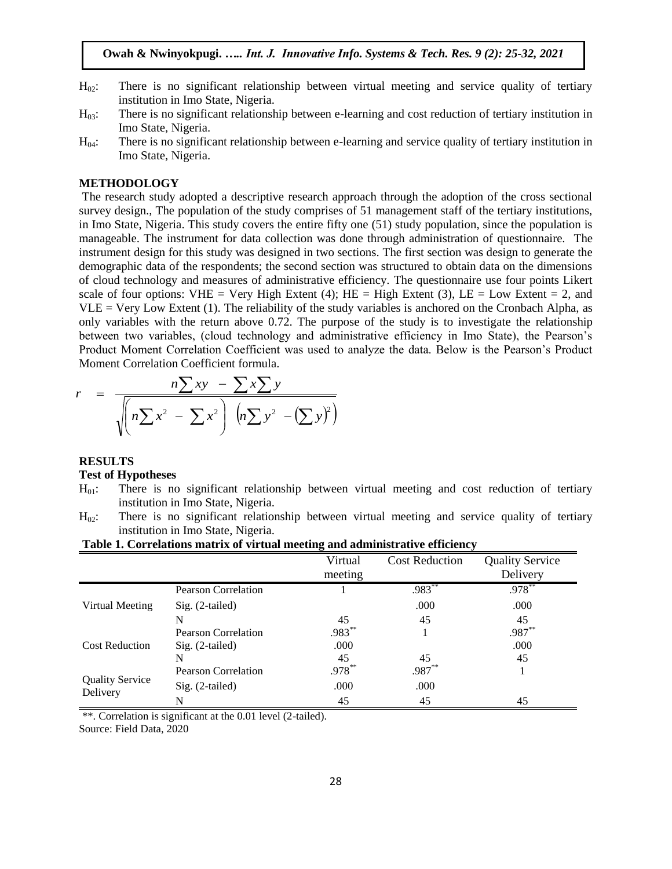- $H_{02}$ : There is no significant relationship between virtual meeting and service quality of tertiary institution in Imo State, Nigeria.
- H03: There is no significant relationship between e-learning and cost reduction of tertiary institution in Imo State, Nigeria.
- $H_{04}$ : There is no significant relationship between e-learning and service quality of tertiary institution in Imo State, Nigeria.

### **METHODOLOGY**

The research study adopted a descriptive research approach through the adoption of the cross sectional survey design., The population of the study comprises of 51 management staff of the tertiary institutions, in Imo State, Nigeria. This study covers the entire fifty one (51) study population, since the population is manageable. The instrument for data collection was done through administration of questionnaire. The instrument design for this study was designed in two sections. The first section was design to generate the demographic data of the respondents; the second section was structured to obtain data on the dimensions of cloud technology and measures of administrative efficiency. The questionnaire use four points Likert scale of four options: VHE = Very High Extent (4); HE = High Extent (3), LE = Low Extent = 2, and  $VLE = V$ ery Low Extent (1). The reliability of the study variables is anchored on the Cronbach Alpha, as only variables with the return above 0.72. The purpose of the study is to investigate the relationship between two variables, (cloud technology and administrative efficiency in Imo State), the Pearson's Product Moment Correlation Coefficient was used to analyze the data. Below is the Pearson's Product Moment Correlation Coefficient formula.

$$
r = \frac{n \sum xy - \sum x \sum y}{\sqrt{(n \sum x^2 - \sum x^2)} \left( n \sum y^2 - (\sum y)^2 \right)}
$$

#### **RESULTS**

#### **Test of Hypotheses**

- $H<sub>01</sub>$ : There is no significant relationship between virtual meeting and cost reduction of tertiary institution in Imo State, Nigeria.
- $H_{02}$ : There is no significant relationship between virtual meeting and service quality of tertiary institution in Imo State, Nigeria.

# **Table 1. Correlations matrix of virtual meeting and administrative efficiency**

|                                    |                            | Virtual   | <b>Cost Reduction</b> | <b>Quality Service</b> |
|------------------------------------|----------------------------|-----------|-----------------------|------------------------|
|                                    |                            | meeting   |                       | Delivery               |
| Virtual Meeting                    | <b>Pearson Correlation</b> |           | $.983***$             | $.978***$              |
|                                    | $Sig. (2-tailed)$          |           | .000                  | .000                   |
|                                    | N                          | 45        | 45                    | 45                     |
| <b>Cost Reduction</b>              | <b>Pearson Correlation</b> | .983**    |                       | .987**                 |
|                                    | $Sig. (2-tailed)$          | .000      |                       | .000                   |
|                                    | N                          | 45        | 45                    | 45                     |
| <b>Quality Service</b><br>Delivery | <b>Pearson Correlation</b> | $.978***$ | .987**                |                        |
|                                    | $Sig. (2-tailed)$          | .000      | .000                  |                        |
|                                    | N                          | 45        | 45                    | 45                     |

\*\*. Correlation is significant at the 0.01 level (2-tailed).

Source: Field Data, 2020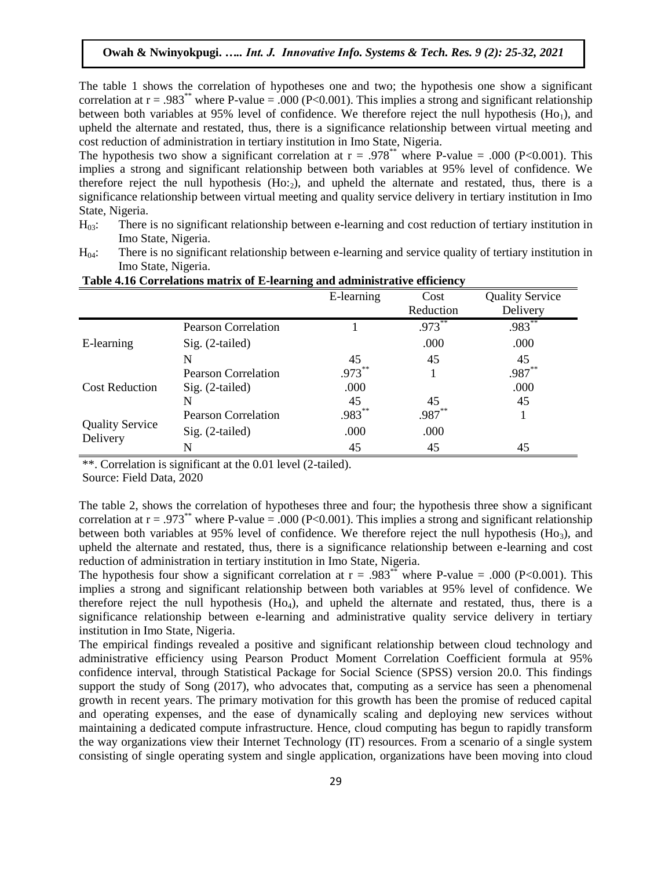The table 1 shows the correlation of hypotheses one and two; the hypothesis one show a significant correlation at  $r = .983^{**}$  where P-value = .000 (P<0.001). This implies a strong and significant relationship between both variables at  $95\%$  level of confidence. We therefore reject the null hypothesis (Ho<sub>1</sub>), and upheld the alternate and restated, thus, there is a significance relationship between virtual meeting and cost reduction of administration in tertiary institution in Imo State, Nigeria.

The hypothesis two show a significant correlation at  $r = .978^{**}$  where P-value = .000 (P<0.001). This implies a strong and significant relationship between both variables at 95% level of confidence. We therefore reject the null hypothesis  $(Ho:2)$ , and upheld the alternate and restated, thus, there is a significance relationship between virtual meeting and quality service delivery in tertiary institution in Imo State, Nigeria.

- $H_{03}$ : There is no significant relationship between e-learning and cost reduction of tertiary institution in Imo State, Nigeria.
- $H_{04}$ : There is no significant relationship between e-learning and service quality of tertiary institution in Imo State, Nigeria.

|                                    |                            | E-learning | Cost<br>Reduction | <b>Quality Service</b><br>Delivery |
|------------------------------------|----------------------------|------------|-------------------|------------------------------------|
| E-learning                         | <b>Pearson Correlation</b> |            | $.973***$         | $.983***$                          |
|                                    | $Sig. (2-tailed)$          |            | .000              | .000                               |
|                                    | N                          | 45         | 45                | 45                                 |
| <b>Cost Reduction</b>              | Pearson Correlation        | $.973***$  |                   | .987**                             |
|                                    | $Sig. (2-tailed)$          | .000       |                   | .000                               |
|                                    | N                          | 45         | 45                | 45                                 |
| <b>Quality Service</b><br>Delivery | Pearson Correlation        | .983**     | .987**            |                                    |
|                                    | Sig. (2-tailed)            | .000       | .000              |                                    |
|                                    | N                          | 45         | 45                | 45                                 |

**Table 4.16 Correlations matrix of E-learning and administrative efficiency** 

\*\*. Correlation is significant at the 0.01 level (2-tailed).

Source: Field Data, 2020

The table 2, shows the correlation of hypotheses three and four; the hypothesis three show a significant correlation at  $r = .973^{**}$  where P-value = .000 (P<0.001). This implies a strong and significant relationship between both variables at 95% level of confidence. We therefore reject the null hypothesis (H $o_3$ ), and upheld the alternate and restated, thus, there is a significance relationship between e-learning and cost reduction of administration in tertiary institution in Imo State, Nigeria.

The hypothesis four show a significant correlation at  $r = .983^{**}$  where P-value = .000 (P<0.001). This implies a strong and significant relationship between both variables at 95% level of confidence. We therefore reject the null hypothesis  $(Ho<sub>4</sub>)$ , and upheld the alternate and restated, thus, there is a significance relationship between e-learning and administrative quality service delivery in tertiary institution in Imo State, Nigeria.

The empirical findings revealed a positive and significant relationship between cloud technology and administrative efficiency using Pearson Product Moment Correlation Coefficient formula at 95% confidence interval, through Statistical Package for Social Science (SPSS) version 20.0. This findings support the study of Song (2017), who advocates that, computing as a service has seen a phenomenal growth in recent years. The primary motivation for this growth has been the promise of reduced capital and operating expenses, and the ease of dynamically scaling and deploying new services without maintaining a dedicated compute infrastructure. Hence, cloud computing has begun to rapidly transform the way organizations view their Internet Technology (IT) resources. From a scenario of a single system consisting of single operating system and single application, organizations have been moving into cloud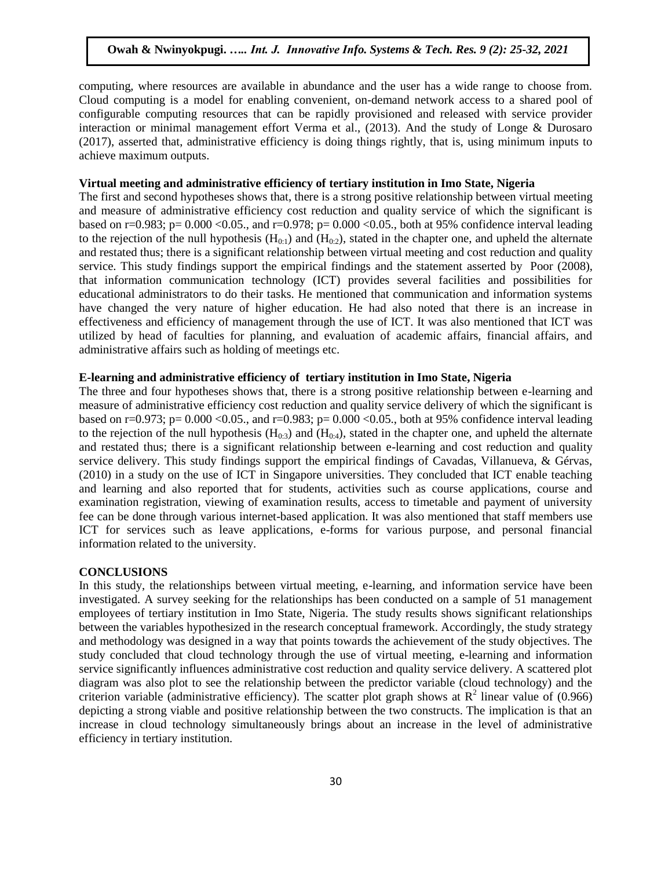computing, where resources are available in abundance and the user has a wide range to choose from. Cloud computing is a model for enabling convenient, on-demand network access to a shared pool of configurable computing resources that can be rapidly provisioned and released with service provider interaction or minimal management effort Verma et al., (2013). And the study of Longe & Durosaro (2017), asserted that, administrative efficiency is doing things rightly, that is, using minimum inputs to achieve maximum outputs.

# **Virtual meeting and administrative efficiency of tertiary institution in Imo State, Nigeria**

The first and second hypotheses shows that, there is a strong positive relationship between virtual meeting and measure of administrative efficiency cost reduction and quality service of which the significant is based on r=0.983; p=  $0.000$  <0.05., and r=0.978; p= 0.000 <0.05., both at 95% confidence interval leading to the rejection of the null hypothesis  $(H_{0:1})$  and  $(H_{0:2})$ , stated in the chapter one, and upheld the alternate and restated thus; there is a significant relationship between virtual meeting and cost reduction and quality service. This study findings support the empirical findings and the statement asserted by Poor (2008), that information communication technology (ICT) provides several facilities and possibilities for educational administrators to do their tasks. He mentioned that communication and information systems have changed the very nature of higher education. He had also noted that there is an increase in effectiveness and efficiency of management through the use of ICT. It was also mentioned that ICT was utilized by head of faculties for planning, and evaluation of academic affairs, financial affairs, and administrative affairs such as holding of meetings etc.

## **E-learning and administrative efficiency of tertiary institution in Imo State, Nigeria**

The three and four hypotheses shows that, there is a strong positive relationship between e-learning and measure of administrative efficiency cost reduction and quality service delivery of which the significant is based on r=0.973; p= 0.000 < 0.05., and r=0.983; p= 0.000 < 0.05., both at 95% confidence interval leading to the rejection of the null hypothesis  $(H_{0:3})$  and  $(H_{0:4})$ , stated in the chapter one, and upheld the alternate and restated thus; there is a significant relationship between e-learning and cost reduction and quality service delivery. This study findings support the empirical findings of Cavadas, Villanueva, & Gérvas, (2010) in a study on the use of ICT in Singapore universities. They concluded that ICT enable teaching and learning and also reported that for students, activities such as course applications, course and examination registration, viewing of examination results, access to timetable and payment of university fee can be done through various internet-based application. It was also mentioned that staff members use ICT for services such as leave applications, e-forms for various purpose, and personal financial information related to the university.

#### **CONCLUSIONS**

In this study, the relationships between virtual meeting, e-learning, and information service have been investigated. A survey seeking for the relationships has been conducted on a sample of 51 management employees of tertiary institution in Imo State, Nigeria. The study results shows significant relationships between the variables hypothesized in the research conceptual framework. Accordingly, the study strategy and methodology was designed in a way that points towards the achievement of the study objectives. The study concluded that cloud technology through the use of virtual meeting, e-learning and information service significantly influences administrative cost reduction and quality service delivery. A scattered plot diagram was also plot to see the relationship between the predictor variable (cloud technology) and the criterion variable (administrative efficiency). The scatter plot graph shows at  $R^2$  linear value of (0.966) depicting a strong viable and positive relationship between the two constructs. The implication is that an increase in cloud technology simultaneously brings about an increase in the level of administrative efficiency in tertiary institution.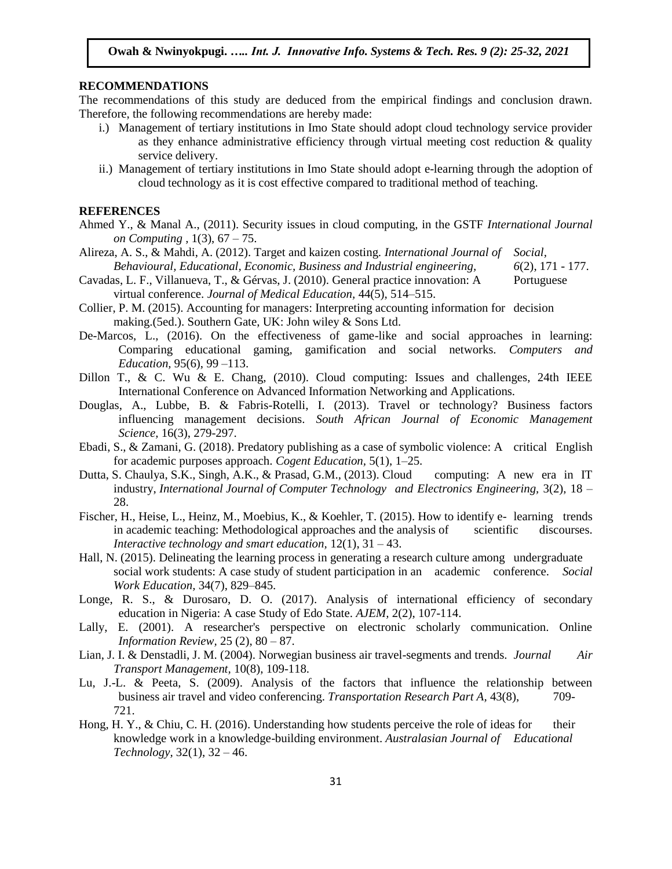# **RECOMMENDATIONS**

The recommendations of this study are deduced from the empirical findings and conclusion drawn. Therefore, the following recommendations are hereby made:

- i.) Management of tertiary institutions in Imo State should adopt cloud technology service provider as they enhance administrative efficiency through virtual meeting cost reduction  $\&$  quality service delivery.
- ii.) Management of tertiary institutions in Imo State should adopt e-learning through the adoption of cloud technology as it is cost effective compared to traditional method of teaching.

#### **REFERENCES**

- Ahmed Y., & Manal A., (2011). Security issues in cloud computing, in the GSTF *International Journal on Computing ,* 1(3), 67 – 75.
- Alireza, A. S., & Mahdi, A. (2012). Target and kaizen costing. *International Journal of Social, Behavioural, Educational, Economic, Business and Industrial engineering, 6*(2), 171 - 177.
- Cavadas, L. F., Villanueva, T., & Gérvas, J. (2010). General practice innovation: A Portuguese virtual conference. *Journal of Medical Education,* 44(5), 514–515.
- Collier, P. M. (2015). Accounting for managers: Interpreting accounting information for decision making.(5ed.). Southern Gate, UK: John wiley & Sons Ltd.
- De-Marcos, L., (2016). On the effectiveness of game-like and social approaches in learning: Comparing educational gaming, gamification and social networks. *Computers and Education,* 95(6), 99 –113.
- Dillon T., & C. Wu & E. Chang, (2010). Cloud computing: Issues and challenges, 24th IEEE International Conference on Advanced Information Networking and Applications.
- Douglas, A., Lubbe, B. & Fabris-Rotelli, I. (2013). Travel or technology? Business factors influencing management decisions. *South African Journal of Economic Management Science,* 16(3), 279-297.
- Ebadi, S., & Zamani, G. (2018). Predatory publishing as a case of symbolic violence: A critical English for academic purposes approach. *Cogent Education,* 5(1), 1–25.
- Dutta, S. Chaulya, S.K., Singh, A.K., & Prasad, G.M., (2013). Cloud computing: A new era in IT industry, *International Journal of Computer Technology and Electronics Engineering,* 3(2), 18 – 28.
- Fischer, H., Heise, L., Heinz, M., Moebius, K., & Koehler, T. (2015). How to identify e- learning trends in academic teaching: Methodological approaches and the analysis of scientific discourses. *Interactive technology and smart education,* 12(1), 31 – 43.
- Hall, N. (2015). Delineating the learning process in generating a research culture among undergraduate social work students: A case study of student participation in an academic conference. *Social Work Education,* 34(7), 829–845.
- Longe, R. S., & Durosaro, D. O. (2017). Analysis of international efficiency of secondary education in Nigeria: A case Study of Edo State. *AJEM,* 2(2), 107-114.
- Lally, E. (2001). A researcher's perspective on electronic scholarly communication. Online *Information Review,* 25 (2), 80 – 87.
- Lian, J. I. & Denstadli, J. M. (2004). Norwegian business air travel-segments and trends. *Journal Air Transport Management,* 10(8), 109-118.
- Lu, J.-L. & Peeta, S. (2009). Analysis of the factors that influence the relationship between business air travel and video conferencing. *Transportation Research Part A,* 43(8), 709- 721.
- Hong, H. Y., & Chiu, C. H. (2016). Understanding how students perceive the role of ideas for their knowledge work in a knowledge-building environment. *Australasian Journal of Educational Technology,* 32(1), 32 – 46.